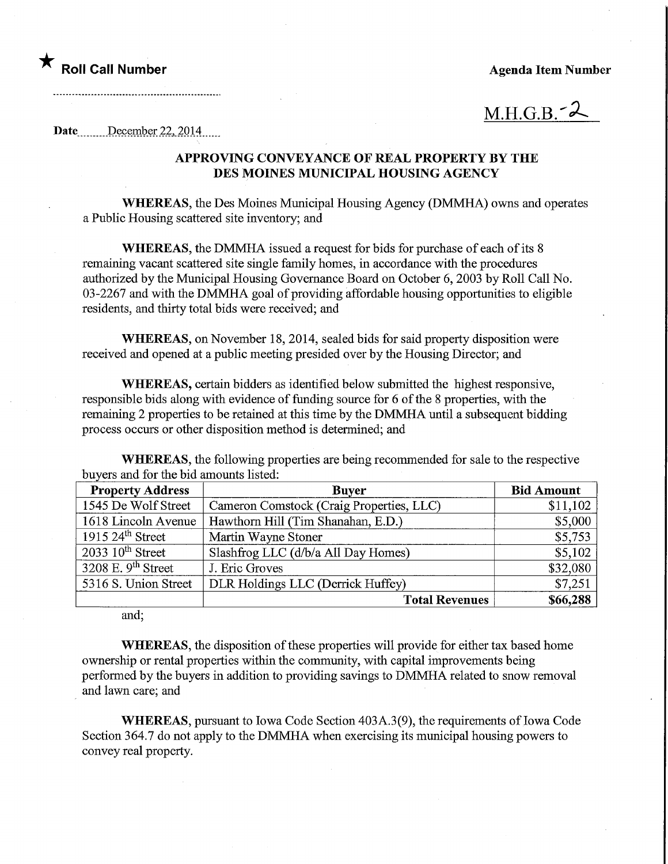# **Roll Call Number Agents Agents Agents Agents Agents Agents Agents Agents Agents Agents Agents Agents Agents Agents Agents Agents Agents Agents Agents Agents Agents Agents Agents Agents Agents Agents Agents Agents Agents A**

 $M.H.G.B.^2$ 

Date December 22, 2014

## APPROVING CONVEYANCE OF REAL PROPERTY BY THE DES MOINES MUNICIPAL HOUSING AGENCY

WHEREAS, the Des Moines Municipal Housing Agency (DMMHA) owns and operates a Public Housing scattered site inventory; and

WHEREAS, the DMMHA issued a request for bids for purchase of each of its 8 remaining vacant scattered site single family homes, in accordance with the procedures authorized by the Municipal Housing Governance Board on October 6, 2003 by Roll Call No. 03-2267 and with the DMMHA goal of providing affordable housing opportunities to eligible residents, and thirty total bids were received; and

WHEREAS, on November 18, 2014, sealed bids for said property disposition were received and opened at a public meeting presided over by the Housing Director; and

WHEREAS, certain bidders as identified below submitted the highest responsive, responsible bids along with evidence of funding source for 6 of the 8 properties, with the remaining 2 properties to be retained at this time by the DMMHA until a subsequent bidding process occurs or other disposition method is determined; and

WHEREAS, the following properties are being recommended for sale to the respective buyers and for the bid amounts listed:

| <b>Property Address</b>       | <b>Buyer</b>                             | <b>Bid Amount</b> |
|-------------------------------|------------------------------------------|-------------------|
| 1545 De Wolf Street           | Cameron Comstock (Craig Properties, LLC) | \$11,102          |
| 1618 Lincoln Avenue           | Hawthorn Hill (Tim Shanahan, E.D.)       | \$5,000           |
| $1915\,24^{\text{th}}$ Street | Martin Wayne Stoner                      | \$5,753           |
| $2033~10^{\text{th}}$ Street  | Slashfrog LLC (d/b/a All Day Homes)      | \$5,102           |
| 3208 E. 9th Street            | J. Eric Groves                           | \$32,080          |
| 5316 S. Union Street          | DLR Holdings LLC (Derrick Huffey)        | \$7,251           |
|                               | <b>Total Revenues</b>                    | \$66,288          |

and;

WHEREAS, the disposition of these properties will provide for either tax based home ownership or rental properties within the community, with capital improvements being performed by the buyers in addition to providing savings to DMMHA related to snow removal and lawn care; and

WHEREAS, pursuant to Iowa Code Section 403A.3(9), the requirements of Iowa Code Section 364.7 do not apply to the DMMHA when exercising its municipal housing powers to convey real property.